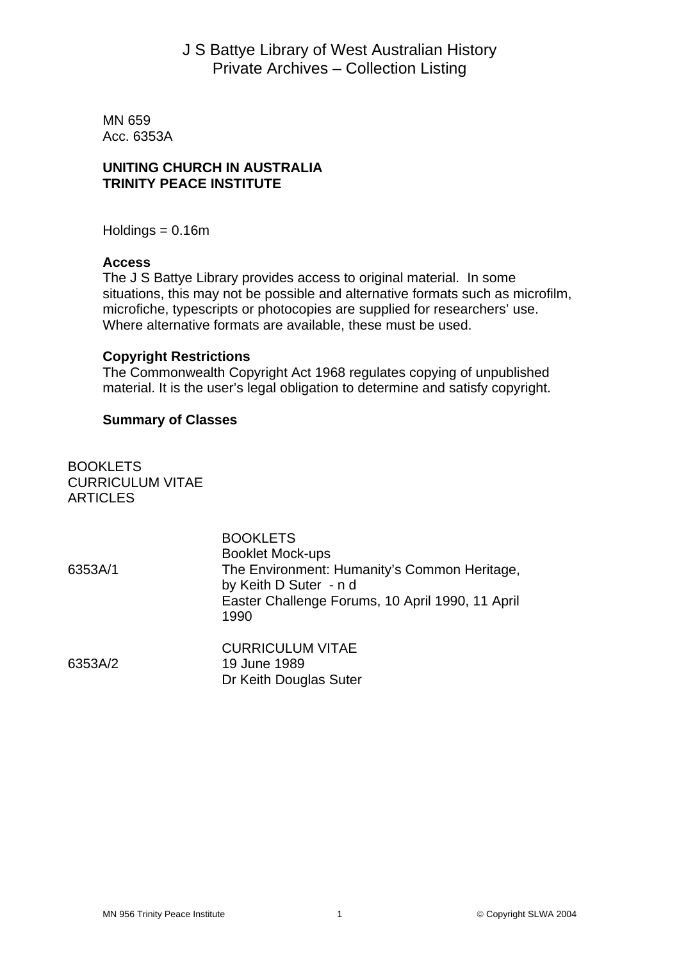# J S Battye Library of West Australian History Private Archives – Collection Listing

MN 659 Acc. 6353A

## **UNITING CHURCH IN AUSTRALIA TRINITY PEACE INSTITUTE**

 $Holdings = 0.16m$ 

### **Access**

The J S Battye Library provides access to original material. In some situations, this may not be possible and alternative formats such as microfilm, microfiche, typescripts or photocopies are supplied for researchers' use. Where alternative formats are available, these must be used.

### **Copyright Restrictions**

The Commonwealth Copyright Act 1968 regulates copying of unpublished material. It is the user's legal obligation to determine and satisfy copyright.

### **Summary of Classes**

**BOOKLETS** CURRICULUM VITAE **ARTICLES** 

|         | <b>BOOKLETS</b><br><b>Booklet Mock-ups</b>                             |
|---------|------------------------------------------------------------------------|
| 6353A/1 | The Environment: Humanity's Common Heritage,<br>by Keith D Suter - n d |
|         | Easter Challenge Forums, 10 April 1990, 11 April<br>1990               |
|         | <b>CURRICULUM VITAE</b>                                                |
| 6353A/2 | 19 June 1989                                                           |
|         | Dr Keith Douglas Suter                                                 |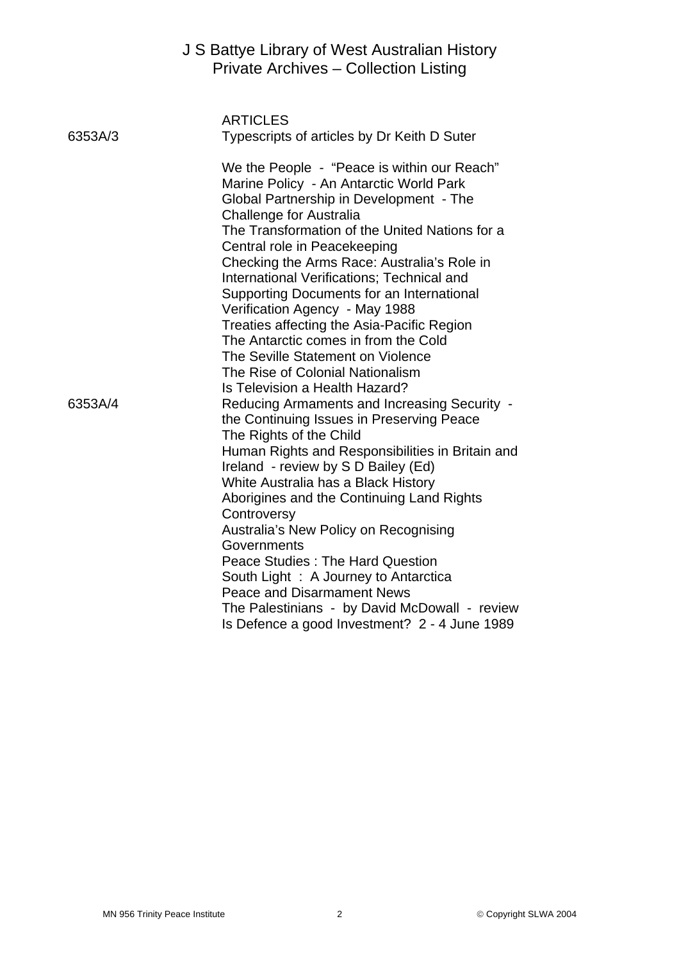|         | J S Battye Library of West Australian History<br>Private Archives - Collection Listing                                                                                                                                                                                                                                                                                                                                                                                                                                                                                                                                             |
|---------|------------------------------------------------------------------------------------------------------------------------------------------------------------------------------------------------------------------------------------------------------------------------------------------------------------------------------------------------------------------------------------------------------------------------------------------------------------------------------------------------------------------------------------------------------------------------------------------------------------------------------------|
| 6353A/3 | <b>ARTICLES</b><br>Typescripts of articles by Dr Keith D Suter                                                                                                                                                                                                                                                                                                                                                                                                                                                                                                                                                                     |
|         | We the People - "Peace is within our Reach"<br>Marine Policy - An Antarctic World Park<br>Global Partnership in Development - The<br><b>Challenge for Australia</b><br>The Transformation of the United Nations for a<br>Central role in Peacekeeping<br>Checking the Arms Race: Australia's Role in<br>International Verifications; Technical and<br>Supporting Documents for an International<br>Verification Agency - May 1988<br>Treaties affecting the Asia-Pacific Region<br>The Antarctic comes in from the Cold<br>The Seville Statement on Violence<br>The Rise of Colonial Nationalism<br>Is Television a Health Hazard? |
| 6353A/4 | Reducing Armaments and Increasing Security -<br>the Continuing Issues in Preserving Peace<br>The Rights of the Child<br>Human Rights and Responsibilities in Britain and<br>Ireland - review by S D Bailey (Ed)<br>White Australia has a Black History<br>Aborigines and the Continuing Land Rights<br>Controversy<br>Australia's New Policy on Recognising<br>Governments<br><b>Peace Studies: The Hard Question</b><br>South Light: A Journey to Antarctica<br><b>Peace and Disarmament News</b><br>The Palestinians - by David McDowall - review<br>Is Defence a good Investment? 2 - 4 June 1989                               |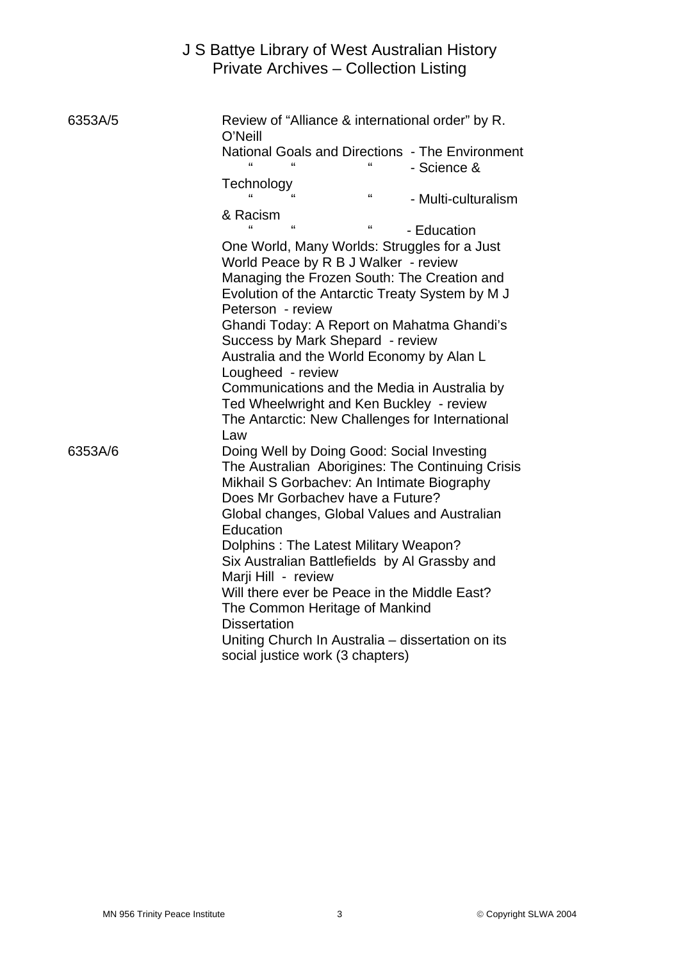|         | J S Battye Library of West Australian History<br>Private Archives - Collection Listing                                                                                                                                                                                                                                                                                                                                                                                                                                                                                                                                                                                                                                                                        |
|---------|---------------------------------------------------------------------------------------------------------------------------------------------------------------------------------------------------------------------------------------------------------------------------------------------------------------------------------------------------------------------------------------------------------------------------------------------------------------------------------------------------------------------------------------------------------------------------------------------------------------------------------------------------------------------------------------------------------------------------------------------------------------|
| 6353A/5 | Review of "Alliance & international order" by R.<br>O'Neill<br>National Goals and Directions - The Environment<br>- Science &<br>Technology<br>$\epsilon$<br>"<br>- Multi-culturalism<br>& Racism<br>$\mathbf{G}$<br>"<br>- Education<br>One World, Many Worlds: Struggles for a Just<br>World Peace by R B J Walker - review<br>Managing the Frozen South: The Creation and<br>Evolution of the Antarctic Treaty System by MJ<br>Peterson - review<br>Ghandi Today: A Report on Mahatma Ghandi's<br>Success by Mark Shepard - review<br>Australia and the World Economy by Alan L<br>Lougheed - review<br>Communications and the Media in Australia by<br>Ted Wheelwright and Ken Buckley - review<br>The Antarctic: New Challenges for International<br>Law |
| 6353A/6 | Doing Well by Doing Good: Social Investing<br>The Australian Aborigines: The Continuing Crisis<br>Mikhail S Gorbachev: An Intimate Biography<br>Does Mr Gorbachev have a Future?<br>Global changes, Global Values and Australian<br>Education<br>Dolphins: The Latest Military Weapon?<br>Six Australian Battlefields by Al Grassby and<br>Marji Hill - review<br>Will there ever be Peace in the Middle East?<br>The Common Heritage of Mankind<br><b>Dissertation</b><br>Uniting Church In Australia - dissertation on its<br>social justice work (3 chapters)                                                                                                                                                                                              |